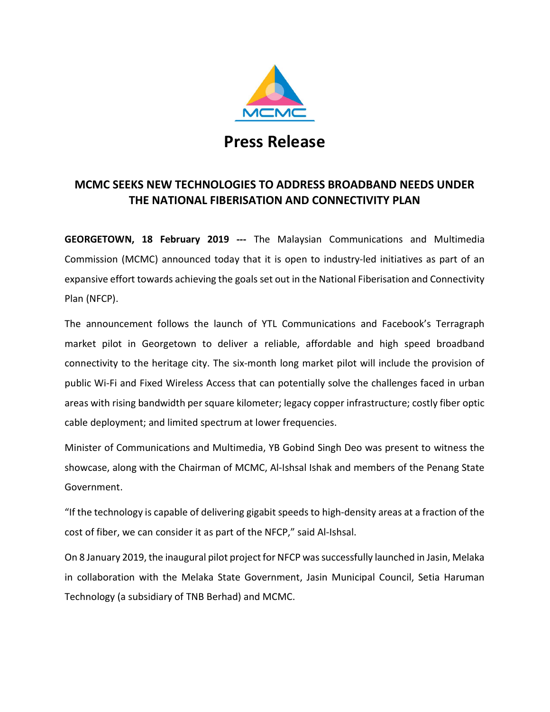

## Press Release

## MCMC SEEKS NEW TECHNOLOGIES TO ADDRESS BROADBAND NEEDS UNDER THE NATIONAL FIBERISATION AND CONNECTIVITY PLAN

GEORGETOWN, 18 February 2019 --- The Malaysian Communications and Multimedia Commission (MCMC) announced today that it is open to industry-led initiatives as part of an expansive effort towards achieving the goals set out in the National Fiberisation and Connectivity Plan (NFCP).

The announcement follows the launch of YTL Communications and Facebook's Terragraph market pilot in Georgetown to deliver a reliable, affordable and high speed broadband connectivity to the heritage city. The six-month long market pilot will include the provision of public Wi-Fi and Fixed Wireless Access that can potentially solve the challenges faced in urban areas with rising bandwidth per square kilometer; legacy copper infrastructure; costly fiber optic cable deployment; and limited spectrum at lower frequencies.

Minister of Communications and Multimedia, YB Gobind Singh Deo was present to witness the showcase, along with the Chairman of MCMC, Al-Ishsal Ishak and members of the Penang State Government.

"If the technology is capable of delivering gigabit speeds to high-density areas at a fraction of the cost of fiber, we can consider it as part of the NFCP," said Al-Ishsal.

On 8 January 2019, the inaugural pilot project for NFCP was successfully launched in Jasin, Melaka in collaboration with the Melaka State Government, Jasin Municipal Council, Setia Haruman Technology (a subsidiary of TNB Berhad) and MCMC.